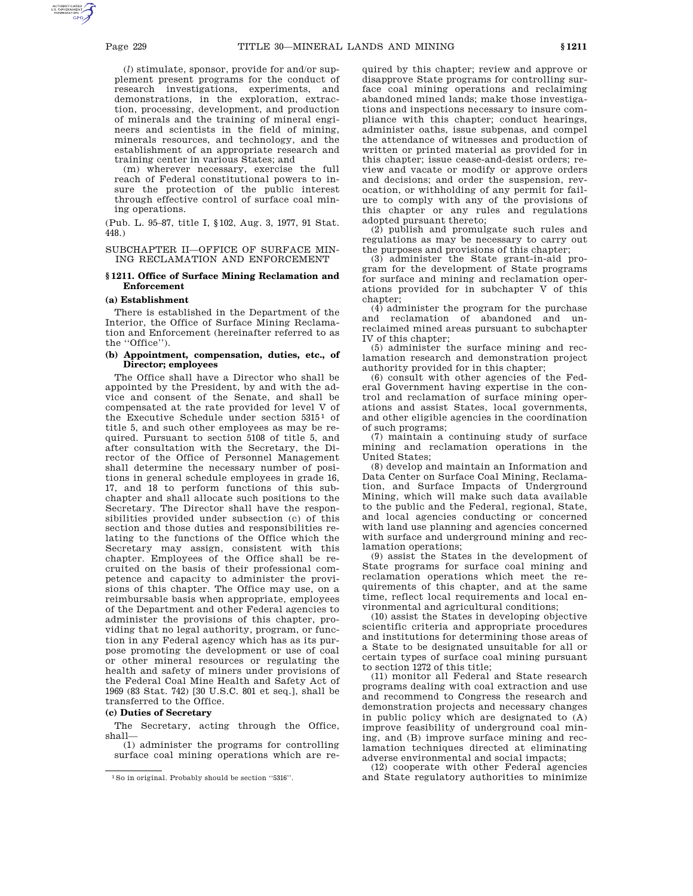(*l*) stimulate, sponsor, provide for and/or supplement present programs for the conduct of research investigations, experiments, and demonstrations, in the exploration, extraction, processing, development, and production of minerals and the training of mineral engineers and scientists in the field of mining, minerals resources, and technology, and the establishment of an appropriate research and training center in various States; and

(m) wherever necessary, exercise the full reach of Federal constitutional powers to insure the protection of the public interest through effective control of surface coal mining operations.

(Pub. L. 95–87, title I, §102, Aug. 3, 1977, 91 Stat. 448.)

SUBCHAPTER II—OFFICE OF SURFACE MIN-ING RECLAMATION AND ENFORCEMENT

# **§ 1211. Office of Surface Mining Reclamation and Enforcement**

# **(a) Establishment**

There is established in the Department of the Interior, the Office of Surface Mining Reclamation and Enforcement (hereinafter referred to as the ''Office'').

# **(b) Appointment, compensation, duties, etc., of Director; employees**

The Office shall have a Director who shall be appointed by the President, by and with the advice and consent of the Senate, and shall be compensated at the rate provided for level V of the Executive Schedule under section  $5315^1$  of title 5, and such other employees as may be required. Pursuant to section 5108 of title 5, and after consultation with the Secretary, the Director of the Office of Personnel Management shall determine the necessary number of positions in general schedule employees in grade 16, 17, and 18 to perform functions of this subchapter and shall allocate such positions to the Secretary. The Director shall have the responsibilities provided under subsection (c) of this section and those duties and responsibilities relating to the functions of the Office which the Secretary may assign, consistent with this chapter. Employees of the Office shall be recruited on the basis of their professional competence and capacity to administer the provisions of this chapter. The Office may use, on a reimbursable basis when appropriate, employees of the Department and other Federal agencies to administer the provisions of this chapter, providing that no legal authority, program, or function in any Federal agency which has as its purpose promoting the development or use of coal or other mineral resources or regulating the health and safety of miners under provisions of the Federal Coal Mine Health and Safety Act of 1969 (83 Stat. 742) [30 U.S.C. 801 et seq.], shall be transferred to the Office.

# **(c) Duties of Secretary**

The Secretary, acting through the Office, shall—

(1) administer the programs for controlling surface coal mining operations which are required by this chapter; review and approve or disapprove State programs for controlling surface coal mining operations and reclaiming abandoned mined lands; make those investigations and inspections necessary to insure compliance with this chapter; conduct hearings, administer oaths, issue subpenas, and compel the attendance of witnesses and production of written or printed material as provided for in this chapter; issue cease-and-desist orders; review and vacate or modify or approve orders and decisions; and order the suspension, revocation, or withholding of any permit for failure to comply with any of the provisions of this chapter or any rules and regulations adopted pursuant thereto;

(2) publish and promulgate such rules and regulations as may be necessary to carry out the purposes and provisions of this chapter;

(3) administer the State grant-in-aid program for the development of State programs for surface and mining and reclamation operations provided for in subchapter V of this chapter;

 $(4)$  administer the program for the purchase and reclamation of abandoned and unreclaimed mined areas pursuant to subchapter IV of this chapter;

(5) administer the surface mining and reclamation research and demonstration project authority provided for in this chapter;

(6) consult with other agencies of the Federal Government having expertise in the control and reclamation of surface mining operations and assist States, local governments, and other eligible agencies in the coordination of such programs;

(7) maintain a continuing study of surface mining and reclamation operations in the United States;

(8) develop and maintain an Information and Data Center on Surface Coal Mining, Reclamation, and Surface Impacts of Underground Mining, which will make such data available to the public and the Federal, regional, State, and local agencies conducting or concerned with land use planning and agencies concerned with surface and underground mining and reclamation operations;

(9) assist the States in the development of State programs for surface coal mining and reclamation operations which meet the requirements of this chapter, and at the same time, reflect local requirements and local environmental and agricultural conditions;

(10) assist the States in developing objective scientific criteria and appropriate procedures and institutions for determining those areas of a State to be designated unsuitable for all or certain types of surface coal mining pursuant to section 1272 of this title;

(11) monitor all Federal and State research programs dealing with coal extraction and use and recommend to Congress the research and demonstration projects and necessary changes in public policy which are designated to (A) improve feasibility of underground coal mining, and (B) improve surface mining and reclamation techniques directed at eliminating adverse environmental and social impacts;

(12) cooperate with other Federal agencies and State regulatory authorities to minimize

<sup>1</sup>So in original. Probably should be section ''5316''.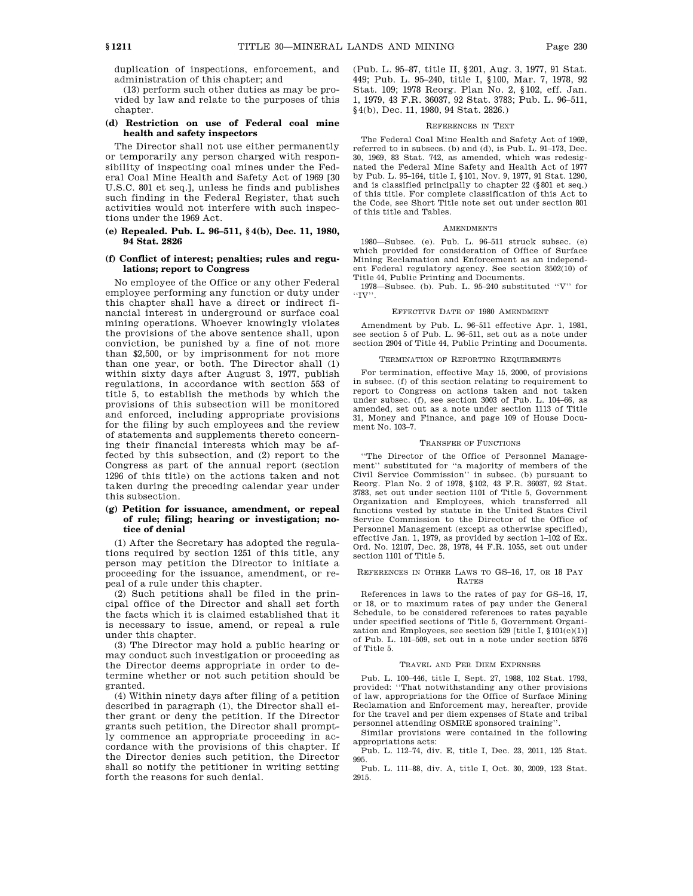administration of this chapter; and

(13) perform such other duties as may be provided by law and relate to the purposes of this chapter.

### **(d) Restriction on use of Federal coal mine health and safety inspectors**

The Director shall not use either permanently or temporarily any person charged with responsibility of inspecting coal mines under the Federal Coal Mine Health and Safety Act of 1969 [30 U.S.C. 801 et seq.], unless he finds and publishes such finding in the Federal Register, that such activities would not interfere with such inspections under the 1969 Act.

# **(e) Repealed. Pub. L. 96–511, § 4(b), Dec. 11, 1980, 94 Stat. 2826**

### **(f) Conflict of interest; penalties; rules and regulations; report to Congress**

No employee of the Office or any other Federal employee performing any function or duty under this chapter shall have a direct or indirect financial interest in underground or surface coal mining operations. Whoever knowingly violates the provisions of the above sentence shall, upon conviction, be punished by a fine of not more than \$2,500, or by imprisonment for not more than one year, or both. The Director shall (1) within sixty days after August 3, 1977, publish regulations, in accordance with section 553 of title 5, to establish the methods by which the provisions of this subsection will be monitored and enforced, including appropriate provisions for the filing by such employees and the review of statements and supplements thereto concerning their financial interests which may be affected by this subsection, and (2) report to the Congress as part of the annual report (section 1296 of this title) on the actions taken and not taken during the preceding calendar year under this subsection.

### **(g) Petition for issuance, amendment, or repeal of rule; filing; hearing or investigation; notice of denial**

(1) After the Secretary has adopted the regulations required by section 1251 of this title, any person may petition the Director to initiate a proceeding for the issuance, amendment, or repeal of a rule under this chapter.

(2) Such petitions shall be filed in the principal office of the Director and shall set forth the facts which it is claimed established that it is necessary to issue, amend, or repeal a rule under this chapter.

(3) The Director may hold a public hearing or may conduct such investigation or proceeding as the Director deems appropriate in order to determine whether or not such petition should be granted.

(4) Within ninety days after filing of a petition described in paragraph (1), the Director shall either grant or deny the petition. If the Director grants such petition, the Director shall promptly commence an appropriate proceeding in accordance with the provisions of this chapter. If the Director denies such petition, the Director shall so notify the petitioner in writing setting forth the reasons for such denial.

(Pub. L. 95–87, title II, §201, Aug. 3, 1977, 91 Stat. 449; Pub. L. 95–240, title I, §100, Mar. 7, 1978, 92 Stat. 109; 1978 Reorg. Plan No. 2, §102, eff. Jan. 1, 1979, 43 F.R. 36037, 92 Stat. 3783; Pub. L. 96–511, §4(b), Dec. 11, 1980, 94 Stat. 2826.)

### REFERENCES IN TEXT

The Federal Coal Mine Health and Safety Act of 1969, referred to in subsecs. (b) and (d), is Pub. L. 91–173, Dec. 30, 1969, 83 Stat. 742, as amended, which was redesignated the Federal Mine Safety and Health Act of 1977 by Pub. L. 95–164, title I, §101, Nov. 9, 1977, 91 Stat. 1290, and is classified principally to chapter 22 (§801 et seq.) of this title. For complete classification of this Act to the Code, see Short Title note set out under section 801 of this title and Tables.

#### AMENDMENTS

1980—Subsec. (e). Pub. L. 96–511 struck subsec. (e) which provided for consideration of Office of Surface Mining Reclamation and Enforcement as an independent Federal regulatory agency. See section 3502(10) of Title 44, Public Printing and Documents.

1978—Subsec. (b). Pub. L. 95–240 substituted ''V'' for  $\lq\lq$ 'IV''.

#### EFFECTIVE DATE OF 1980 AMENDMENT

Amendment by Pub. L. 96–511 effective Apr. 1, 1981, see section 5 of Pub. L. 96–511, set out as a note under section 2904 of Title 44, Public Printing and Documents.

### TERMINATION OF REPORTING REQUIREMENTS

For termination, effective May 15, 2000, of provisions in subsec. (f) of this section relating to requirement to report to Congress on actions taken and not taken under subsec. (f), see section 3003 of Pub. L. 104–66, as amended, set out as a note under section 1113 of Title 31, Money and Finance, and page 109 of House Document No. 103–7.

#### TRANSFER OF FUNCTIONS

''The Director of the Office of Personnel Management'' substituted for ''a majority of members of the Civil Service Commission'' in subsec. (b) pursuant to Reorg. Plan No. 2 of 1978, §102, 43 F.R. 36037, 92 Stat. 3783, set out under section 1101 of Title 5, Government Organization and Employees, which transferred all functions vested by statute in the United States Civil Service Commission to the Director of the Office of Personnel Management (except as otherwise specified), effective Jan. 1, 1979, as provided by section 1–102 of Ex. Ord. No. 12107, Dec. 28, 1978, 44 F.R. 1055, set out under section 1101 of Title 5.

#### REFERENCES IN OTHER LAWS TO GS–16, 17, OR 18 PAY RATES

References in laws to the rates of pay for GS–16, 17, or 18, or to maximum rates of pay under the General Schedule, to be considered references to rates payable under specified sections of Title 5, Government Organization and Employees, see section 529 [title I,  $\S 101(c)(1)$ ] of Pub. L. 101–509, set out in a note under section 5376 of Title 5.

### TRAVEL AND PER DIEM EXPENSES

Pub. L. 100–446, title I, Sept. 27, 1988, 102 Stat. 1793, provided: ''That notwithstanding any other provisions of law, appropriations for the Office of Surface Mining Reclamation and Enforcement may, hereafter, provide for the travel and per diem expenses of State and tribal personnel attending OSMRE sponsored training''.

Similar provisions were contained in the following appropriations acts:

Pub. L. 112–74, div. E, title I, Dec. 23, 2011, 125 Stat. 995.

Pub. L. 111–88, div. A, title I, Oct. 30, 2009, 123 Stat. 2915.